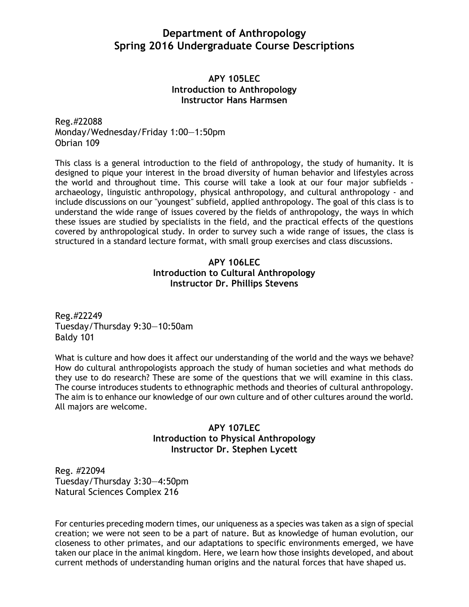# **Department of Anthropology Spring 2016 Undergraduate Course Descriptions**

### **APY 105LEC Introduction to Anthropology Instructor Hans Harmsen**

Reg.#22088 Monday/Wednesday/Friday 1:00—1:50pm Obrian 109

This class is a general introduction to the field of anthropology, the study of humanity. It is designed to pique your interest in the broad diversity of human behavior and lifestyles across the world and throughout time. This course will take a look at our four major subfields archaeology, linguistic anthropology, physical anthropology, and cultural anthropology - and include discussions on our "youngest" subfield, applied anthropology. The goal of this class is to understand the wide range of issues covered by the fields of anthropology, the ways in which these issues are studied by specialists in the field, and the practical effects of the questions covered by anthropological study. In order to survey such a wide range of issues, the class is structured in a standard lecture format, with small group exercises and class discussions.

# **APY 106LEC Introduction to Cultural Anthropology Instructor Dr. Phillips Stevens**

Reg.#22249 Tuesday/Thursday 9:30—10:50am Baldy 101

What is culture and how does it affect our understanding of the world and the ways we behave? How do cultural anthropologists approach the study of human societies and what methods do they use to do research? These are some of the questions that we will examine in this class. The course introduces students to ethnographic methods and theories of cultural anthropology. The aim is to enhance our knowledge of our own culture and of other cultures around the world. All majors are welcome.

# **APY 107LEC Introduction to Physical Anthropology Instructor Dr. Stephen Lycett**

Reg. #22094 Tuesday/Thursday 3:30—4:50pm Natural Sciences Complex 216

For centuries preceding modern times, our uniqueness as a species was taken as a sign of special creation; we were not seen to be a part of nature. But as knowledge of human evolution, our closeness to other primates, and our adaptations to specific environments emerged, we have taken our place in the animal kingdom. Here, we learn how those insights developed, and about current methods of understanding human origins and the natural forces that have shaped us.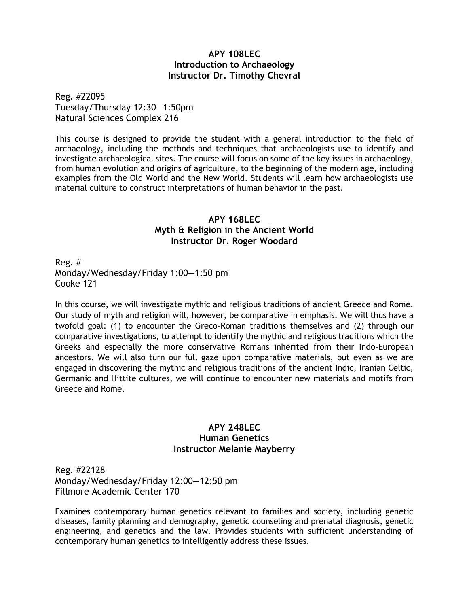### **APY 108LEC Introduction to Archaeology Instructor Dr. Timothy Chevral**

Reg. #22095 Tuesday/Thursday 12:30—1:50pm Natural Sciences Complex 216

This course is designed to provide the student with a general introduction to the field of archaeology, including the methods and techniques that archaeologists use to identify and investigate archaeological sites. The course will focus on some of the key issues in archaeology, from human evolution and origins of agriculture, to the beginning of the modern age, including examples from the Old World and the New World. Students will learn how archaeologists use material culture to construct interpretations of human behavior in the past.

### **APY 168LEC Myth & Religion in the Ancient World Instructor Dr. Roger Woodard**

Reg. # Monday/Wednesday/Friday 1:00—1:50 pm Cooke 121

In this course, we will investigate mythic and religious traditions of ancient Greece and Rome. Our study of myth and religion will, however, be comparative in emphasis. We will thus have a twofold goal: (1) to encounter the Greco-Roman traditions themselves and (2) through our comparative investigations, to attempt to identify the mythic and religious traditions which the Greeks and especially the more conservative Romans inherited from their Indo-European ancestors. We will also turn our full gaze upon comparative materials, but even as we are engaged in discovering the mythic and religious traditions of the ancient Indic, Iranian Celtic, Germanic and Hittite cultures, we will continue to encounter new materials and motifs from Greece and Rome.

### **APY 248LEC Human Genetics Instructor Melanie Mayberry**

Reg. #22128 Monday/Wednesday/Friday 12:00—12:50 pm Fillmore Academic Center 170

Examines contemporary human genetics relevant to families and society, including genetic diseases, family planning and demography, genetic counseling and prenatal diagnosis, genetic engineering, and genetics and the law. Provides students with sufficient understanding of contemporary human genetics to intelligently address these issues.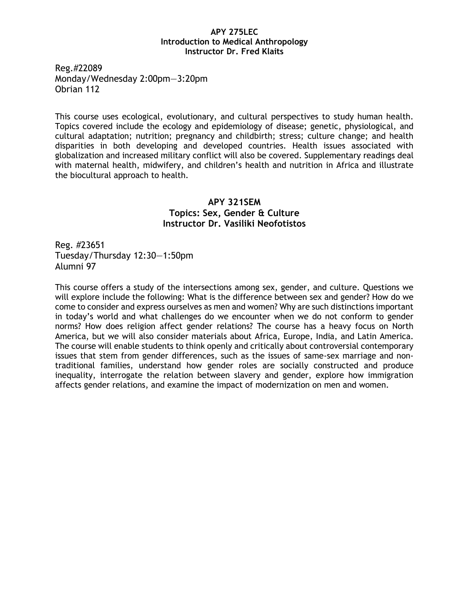#### **APY 275LEC Introduction to Medical Anthropology Instructor Dr. Fred Klaits**

Reg.#22089 Monday/Wednesday 2:00pm—3:20pm Obrian 112

This course uses ecological, evolutionary, and cultural perspectives to study human health. Topics covered include the ecology and epidemiology of disease; genetic, physiological, and cultural adaptation; nutrition; pregnancy and childbirth; stress; culture change; and health disparities in both developing and developed countries. Health issues associated with globalization and increased military conflict will also be covered. Supplementary readings deal with maternal health, midwifery, and children's health and nutrition in Africa and illustrate the biocultural approach to health.

### **APY 321SEM Topics: Sex, Gender & Culture Instructor Dr. Vasiliki Neofotistos**

Reg. #23651 Tuesday/Thursday 12:30—1:50pm Alumni 97

This course offers a study of the intersections among sex, gender, and culture. Questions we will explore include the following: What is the difference between sex and gender? How do we come to consider and express ourselves as men and women? Why are such distinctions important in today's world and what challenges do we encounter when we do not conform to gender norms? How does religion affect gender relations? The course has a heavy focus on North America, but we will also consider materials about Africa, Europe, India, and Latin America. The course will enable students to think openly and critically about controversial contemporary issues that stem from gender differences, such as the issues of same-sex marriage and nontraditional families, understand how gender roles are socially constructed and produce inequality, interrogate the relation between slavery and gender, explore how immigration affects gender relations, and examine the impact of modernization on men and women.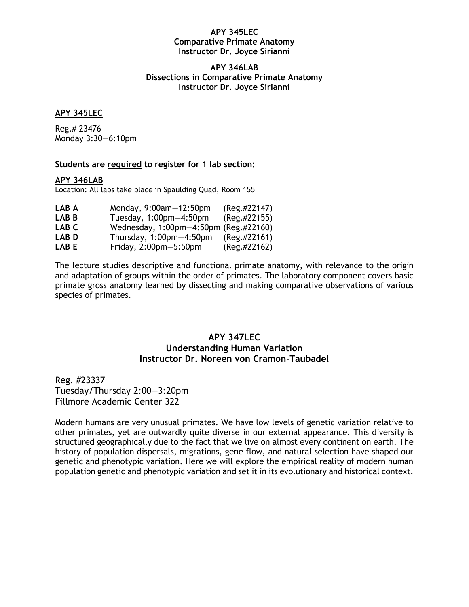#### **APY 345LEC Comparative Primate Anatomy Instructor Dr. Joyce Sirianni**

#### **APY 346LAB Dissections in Comparative Primate Anatomy Instructor Dr. Joyce Sirianni**

#### **APY 345LEC**

Reg.# 23476 Monday 3:30—6:10pm

#### **Students are required to register for 1 lab section:**

#### **APY 346LAB**

Location: All labs take place in Spaulding Quad, Room 155

| LAB A            | Monday, $9:00$ am $-12:50$ pm         | $(Reg. \#22147)$ |
|------------------|---------------------------------------|------------------|
| LAB B            | Tuesday, $1:00$ pm $-4:50$ pm         | (Reg.#22155)     |
| LAB C            | Wednesday, 1:00pm-4:50pm (Reg.#22160) |                  |
| LAB <sub>D</sub> | Thursday, $1:00$ pm $-4:50$ pm        | $(Reg. \#22161)$ |
| LAB E            | Friday, $2:00$ pm $-5:50$ pm          | (Reg.#22162)     |

The lecture studies descriptive and functional primate anatomy, with relevance to the origin and adaptation of groups within the order of primates. The laboratory component covers basic primate gross anatomy learned by dissecting and making comparative observations of various species of primates.

### **APY 347LEC Understanding Human Variation Instructor Dr. Noreen von Cramon-Taubadel**

Reg. #23337 Tuesday/Thursday 2:00—3:20pm Fillmore Academic Center 322

Modern humans are very unusual primates. We have low levels of genetic variation relative to other primates, yet are outwardly quite diverse in our external appearance. This diversity is structured geographically due to the fact that we live on almost every continent on earth. The history of population dispersals, migrations, gene flow, and natural selection have shaped our genetic and phenotypic variation. Here we will explore the empirical reality of modern human population genetic and phenotypic variation and set it in its evolutionary and historical context.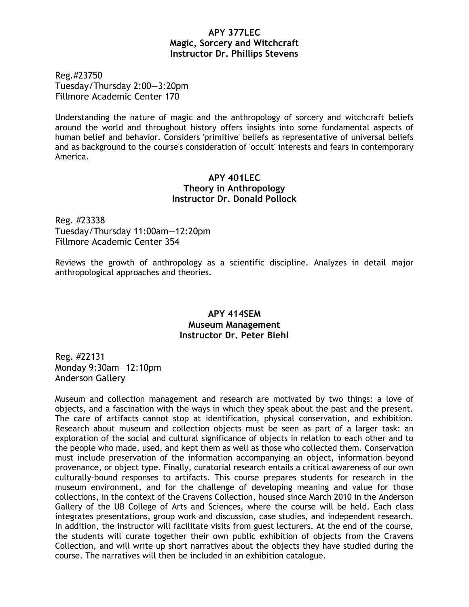### **APY 377LEC Magic, Sorcery and Witchcraft Instructor Dr. Phillips Stevens**

Reg.#23750 Tuesday/Thursday 2:00—3:20pm Fillmore Academic Center 170

Understanding the nature of magic and the anthropology of sorcery and witchcraft beliefs around the world and throughout history offers insights into some fundamental aspects of human belief and behavior. Considers 'primitive' beliefs as representative of universal beliefs and as background to the course's consideration of 'occult' interests and fears in contemporary America.

### **APY 401LEC Theory in Anthropology Instructor Dr. Donald Pollock**

Reg. #23338 Tuesday/Thursday 11:00am—12:20pm Fillmore Academic Center 354

Reviews the growth of anthropology as a scientific discipline. Analyzes in detail major anthropological approaches and theories.

### **APY 414SEM Museum Management Instructor Dr. Peter Biehl**

Reg. #22131 Monday 9:30am—12:10pm Anderson Gallery

Museum and collection management and research are motivated by two things: a love of objects, and a fascination with the ways in which they speak about the past and the present. The care of artifacts cannot stop at identification, physical conservation, and exhibition. Research about museum and collection objects must be seen as part of a larger task: an exploration of the social and cultural significance of objects in relation to each other and to the people who made, used, and kept them as well as those who collected them. Conservation must include preservation of the information accompanying an object, information beyond provenance, or object type. Finally, curatorial research entails a critical awareness of our own culturally-bound responses to artifacts. This course prepares students for research in the museum environment, and for the challenge of developing meaning and value for those collections, in the context of the Cravens Collection, housed since March 2010 in the Anderson Gallery of the UB College of Arts and Sciences, where the course will be held. Each class integrates presentations, group work and discussion, case studies, and independent research. In addition, the instructor will facilitate visits from guest lecturers. At the end of the course, the students will curate together their own public exhibition of objects from the Cravens Collection, and will write up short narratives about the objects they have studied during the course. The narratives will then be included in an exhibition catalogue.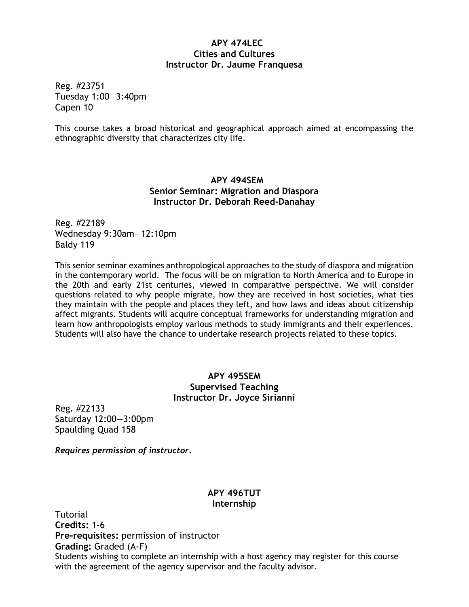### **APY 474LEC Cities and Cultures Instructor Dr. Jaume Franquesa**

Reg. #23751 Tuesday 1:00—3:40pm Capen 10

This course takes a broad historical and geographical approach aimed at encompassing the ethnographic diversity that characterizes city life.

# **APY 494SEM Senior Seminar: Migration and Diaspora Instructor Dr. Deborah Reed-Danahay**

Reg. #22189 Wednesday 9:30am—12:10pm Baldy 119

This senior seminar examines anthropological approaches to the study of diaspora and migration in the contemporary world. The focus will be on migration to North America and to Europe in the 20th and early 21st centuries, viewed in comparative perspective. We will consider questions related to why people migrate, how they are received in host societies, what ties they maintain with the people and places they left, and how laws and ideas about citizenship affect migrants. Students will acquire conceptual frameworks for understanding migration and learn how anthropologists employ various methods to study immigrants and their experiences. Students will also have the chance to undertake research projects related to these topics.

### **APY 495SEM Supervised Teaching Instructor Dr. Joyce Sirianni**

Reg. #22133 Saturday 12:00—3:00pm Spaulding Quad 158

*Requires permission of instructor.*

### **APY 496TUT Internship**

Tutorial **Credits:** 1-6 **Pre-requisites:** permission of instructor **Grading:** Graded (A-F) Students wishing to complete an internship with a host agency may register for this course with the agreement of the agency supervisor and the faculty advisor.